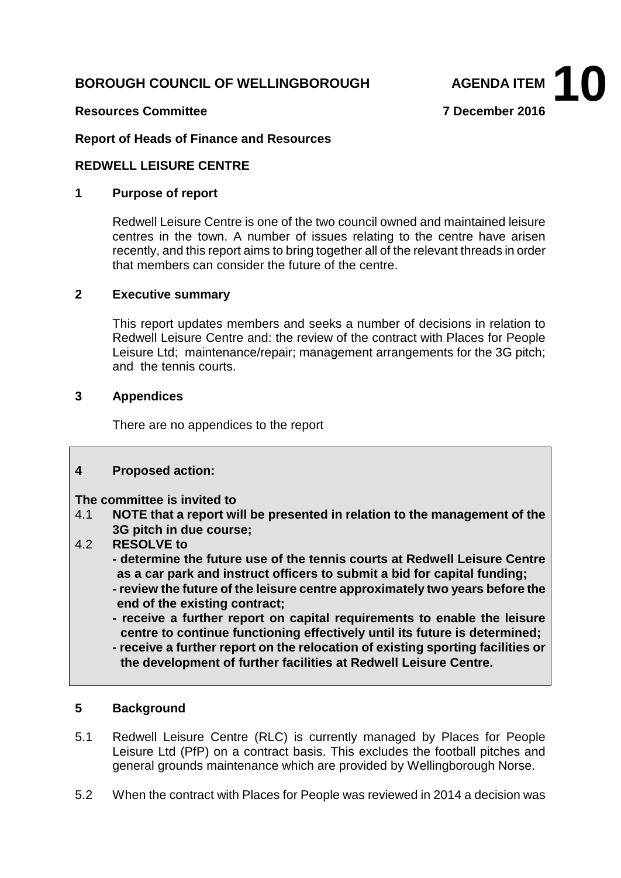# **BOROUGH COUNCIL OF WELLINGBOROUGH AGENDA ITEM**



#### **Resources Committee 7 December 2016**

### **Report of Heads of Finance and Resources**

#### **REDWELL LEISURE CENTRE**

### **1 Purpose of report**

Redwell Leisure Centre is one of the two council owned and maintained leisure centres in the town. A number of issues relating to the centre have arisen recently, and this report aims to bring together all of the relevant threads in order that members can consider the future of the centre.

#### **2 Executive summary**

This report updates members and seeks a number of decisions in relation to Redwell Leisure Centre and: the review of the contract with Places for People Leisure Ltd; maintenance/repair; management arrangements for the 3G pitch; and the tennis courts.

#### **3 Appendices**

There are no appendices to the report

#### **4 Proposed action:**

**The committee is invited to 4.1 NOTE that a report will** 

- 4.1 **NOTE that a report will be presented in relation to the management of the 3G pitch in due course;**
- 4.2 **RESOLVE to** 
	- **- determine the future use of the tennis courts at Redwell Leisure Centre as a car park and instruct officers to submit a bid for capital funding;**
	- **- review the future of the leisure centre approximately two years before the end of the existing contract;**
	- **- receive a further report on capital requirements to enable the leisure centre to continue functioning effectively until its future is determined;**
	- **- receive a further report on the relocation of existing sporting facilities or the development of further facilities at Redwell Leisure Centre.**

#### **5 Background**

- 5.1 Redwell Leisure Centre (RLC) is currently managed by Places for People Leisure Ltd (PfP) on a contract basis. This excludes the football pitches and general grounds maintenance which are provided by Wellingborough Norse.
- 5.2 When the contract with Places for People was reviewed in 2014 a decision was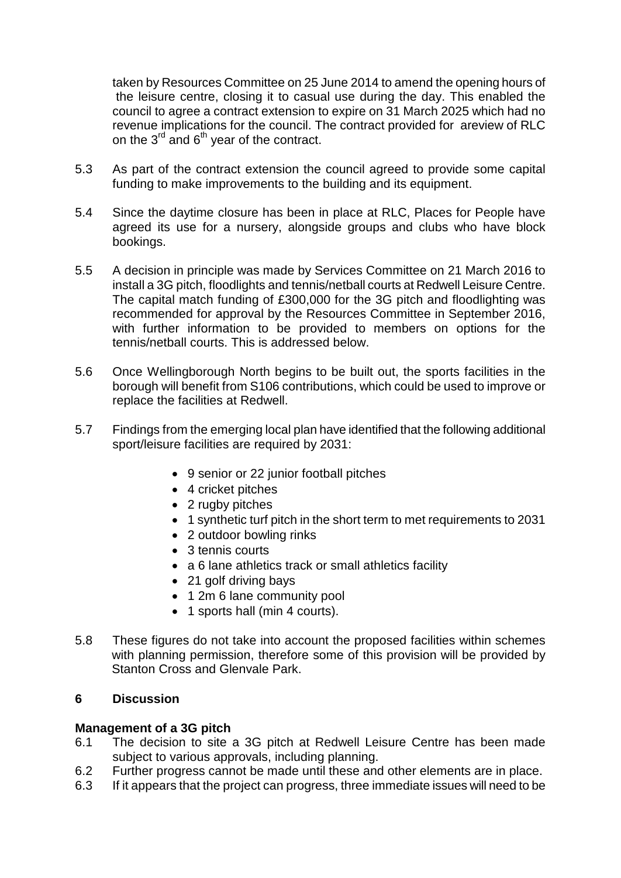taken by Resources Committee on 25 June 2014 to amend the opening hours of the leisure centre, closing it to casual use during the day. This enabled the council to agree a contract extension to expire on 31 March 2025 which had no revenue implications for the council. The contract provided for areview of RLC on the  $3<sup>rd</sup>$  and  $6<sup>th</sup>$  year of the contract.

- 5.3 As part of the contract extension the council agreed to provide some capital funding to make improvements to the building and its equipment.
- 5.4 Since the daytime closure has been in place at RLC, Places for People have agreed its use for a nursery, alongside groups and clubs who have block bookings.
- 5.5 A decision in principle was made by Services Committee on 21 March 2016 to install a 3G pitch, floodlights and tennis/netball courts at Redwell Leisure Centre. The capital match funding of £300,000 for the 3G pitch and floodlighting was recommended for approval by the Resources Committee in September 2016, with further information to be provided to members on options for the tennis/netball courts. This is addressed below.
- 5.6 Once Wellingborough North begins to be built out, the sports facilities in the borough will benefit from S106 contributions, which could be used to improve or replace the facilities at Redwell.
- 5.7 Findings from the emerging local plan have identified that the following additional sport/leisure facilities are required by 2031:
	- 9 senior or 22 junior football pitches
	- 4 cricket pitches
	- 2 rugby pitches
	- 1 synthetic turf pitch in the short term to met requirements to 2031
	- 2 outdoor bowling rinks
	- 3 tennis courts
	- a 6 lane athletics track or small athletics facility
	- 21 golf driving bays
	- 1 2m 6 lane community pool
	- 1 sports hall (min 4 courts).
- 5.8 These figures do not take into account the proposed facilities within schemes with planning permission, therefore some of this provision will be provided by Stanton Cross and Glenvale Park.

# **6 Discussion**

# **Management of a 3G pitch**

- 6.1 The decision to site a 3G pitch at Redwell Leisure Centre has been made subject to various approvals, including planning.
- 6.2 Further progress cannot be made until these and other elements are in place.
- 6.3 If it appears that the project can progress, three immediate issues will need to be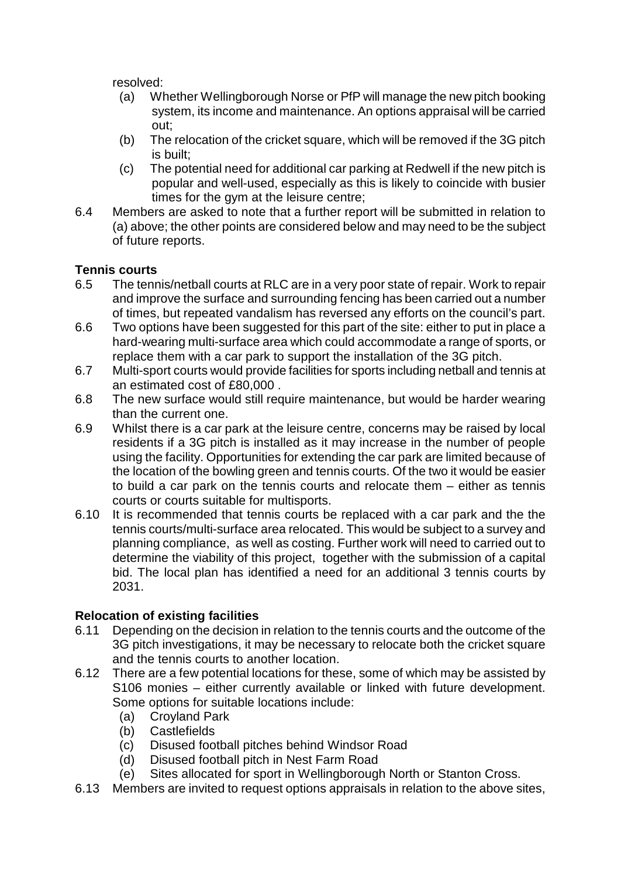resolved:

- (a) Whether Wellingborough Norse or PfP will manage the new pitch booking system, its income and maintenance. An options appraisal will be carried out;
- (b) The relocation of the cricket square, which will be removed if the 3G pitch is built;
- (c) The potential need for additional car parking at Redwell if the new pitch is popular and well-used, especially as this is likely to coincide with busier times for the gym at the leisure centre;
- 6.4 Members are asked to note that a further report will be submitted in relation to (a) above; the other points are considered below and may need to be the subject of future reports.

# **Tennis courts**

- 6.5 The tennis/netball courts at RLC are in a very poor state of repair. Work to repair and improve the surface and surrounding fencing has been carried out a number of times, but repeated vandalism has reversed any efforts on the council's part.
- 6.6 Two options have been suggested for this part of the site: either to put in place a hard-wearing multi-surface area which could accommodate a range of sports, or replace them with a car park to support the installation of the 3G pitch.
- 6.7 Multi-sport courts would provide facilities for sports including netball and tennis at an estimated cost of £80,000 .
- 6.8 The new surface would still require maintenance, but would be harder wearing than the current one.
- 6.9 Whilst there is a car park at the leisure centre, concerns may be raised by local residents if a 3G pitch is installed as it may increase in the number of people using the facility. Opportunities for extending the car park are limited because of the location of the bowling green and tennis courts. Of the two it would be easier to build a car park on the tennis courts and relocate them – either as tennis courts or courts suitable for multisports.
- 6.10 It is recommended that tennis courts be replaced with a car park and the the tennis courts/multi-surface area relocated. This would be subject to a survey and planning compliance, as well as costing. Further work will need to carried out to determine the viability of this project, together with the submission of a capital bid. The local plan has identified a need for an additional 3 tennis courts by 2031.

# **Relocation of existing facilities**

- 6.11 Depending on the decision in relation to the tennis courts and the outcome of the 3G pitch investigations, it may be necessary to relocate both the cricket square and the tennis courts to another location.
- 6.12 There are a few potential locations for these, some of which may be assisted by S106 monies – either currently available or linked with future development. Some options for suitable locations include:
	- (a) Croyland Park<br>(b) Castlefields
	- **Castlefields**
	- (c) Disused football pitches behind Windsor Road
	- (d) Disused football pitch in Nest Farm Road
	- (e) Sites allocated for sport in Wellingborough North or Stanton Cross.
- 6.13 Members are invited to request options appraisals in relation to the above sites,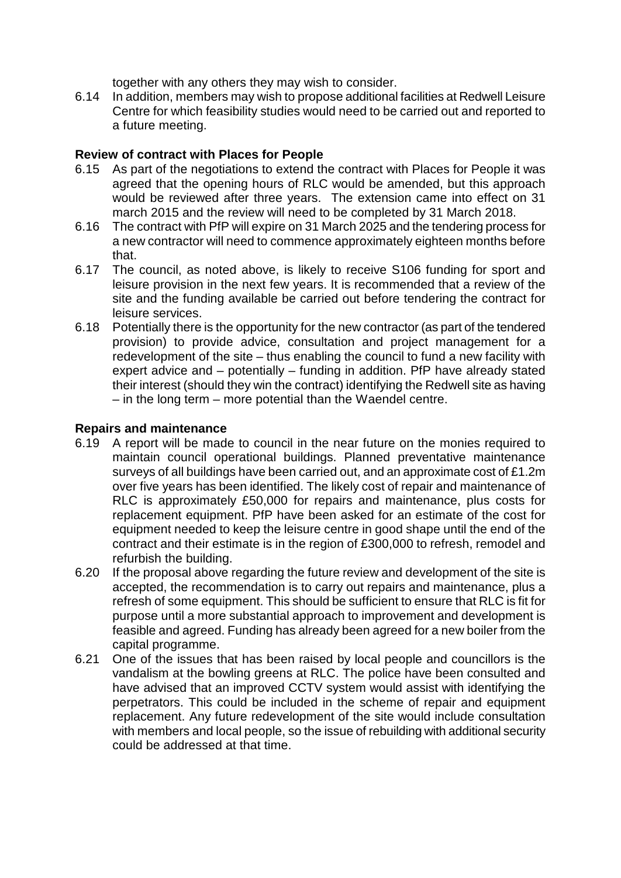together with any others they may wish to consider.

6.14 In addition, members may wish to propose additional facilities at Redwell Leisure Centre for which feasibility studies would need to be carried out and reported to a future meeting.

# **Review of contract with Places for People**

- 6.15 As part of the negotiations to extend the contract with Places for People it was agreed that the opening hours of RLC would be amended, but this approach would be reviewed after three years. The extension came into effect on 31 march 2015 and the review will need to be completed by 31 March 2018.
- 6.16 The contract with PfP will expire on 31 March 2025 and the tendering process for a new contractor will need to commence approximately eighteen months before that.
- 6.17 The council, as noted above, is likely to receive S106 funding for sport and leisure provision in the next few years. It is recommended that a review of the site and the funding available be carried out before tendering the contract for leisure services.
- 6.18 Potentially there is the opportunity for the new contractor (as part of the tendered provision) to provide advice, consultation and project management for a redevelopment of the site – thus enabling the council to fund a new facility with expert advice and – potentially – funding in addition. PfP have already stated their interest (should they win the contract) identifying the Redwell site as having – in the long term – more potential than the Waendel centre.

# **Repairs and maintenance**

- 6.19 A report will be made to council in the near future on the monies required to maintain council operational buildings. Planned preventative maintenance surveys of all buildings have been carried out, and an approximate cost of £1.2m over five years has been identified. The likely cost of repair and maintenance of RLC is approximately £50,000 for repairs and maintenance, plus costs for replacement equipment. PfP have been asked for an estimate of the cost for equipment needed to keep the leisure centre in good shape until the end of the contract and their estimate is in the region of £300,000 to refresh, remodel and refurbish the building.
- 6.20 If the proposal above regarding the future review and development of the site is accepted, the recommendation is to carry out repairs and maintenance, plus a refresh of some equipment. This should be sufficient to ensure that RLC is fit for purpose until a more substantial approach to improvement and development is feasible and agreed. Funding has already been agreed for a new boiler from the capital programme.
- 6.21 One of the issues that has been raised by local people and councillors is the vandalism at the bowling greens at RLC. The police have been consulted and have advised that an improved CCTV system would assist with identifying the perpetrators. This could be included in the scheme of repair and equipment replacement. Any future redevelopment of the site would include consultation with members and local people, so the issue of rebuilding with additional security could be addressed at that time.